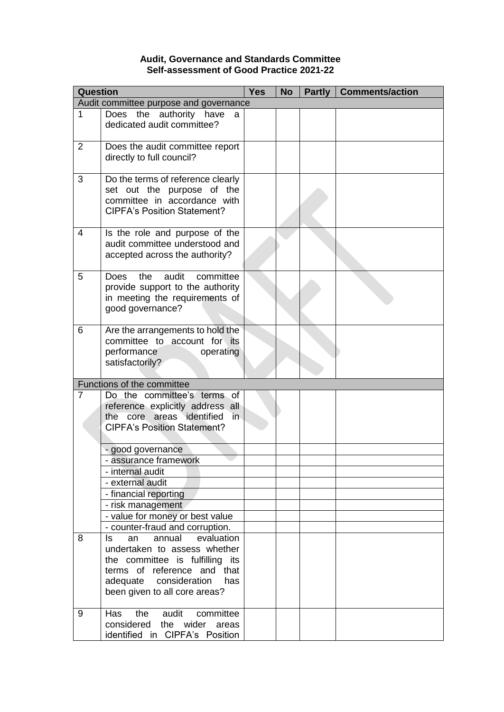## **Audit, Governance and Standards Committee Self-assessment of Good Practice 2021-22**

| <b>Question</b>                        |                                                                                                                                           | <b>Yes</b> | <b>No</b> | Partly | <b>Comments/action</b> |
|----------------------------------------|-------------------------------------------------------------------------------------------------------------------------------------------|------------|-----------|--------|------------------------|
| Audit committee purpose and governance |                                                                                                                                           |            |           |        |                        |
| $\mathbf 1$                            | Does the authority have<br>a<br>dedicated audit committee?                                                                                |            |           |        |                        |
| 2                                      | Does the audit committee report<br>directly to full council?                                                                              |            |           |        |                        |
| 3                                      | Do the terms of reference clearly<br>set out the purpose of the<br>committee in accordance with<br><b>CIPFA's Position Statement?</b>     |            |           |        |                        |
| 4                                      | Is the role and purpose of the<br>audit committee understood and<br>accepted across the authority?                                        |            |           |        |                        |
| 5                                      | audit<br>the<br>committee<br>Does<br>provide support to the authority<br>in meeting the requirements of<br>good governance?               |            |           |        |                        |
| 6                                      | Are the arrangements to hold the<br>committee to account for its<br>performance<br>operating<br>satisfactorily?                           |            |           |        |                        |
|                                        | Functions of the committee                                                                                                                |            |           |        |                        |
| $\overline{7}$                         | Do the committee's terms of<br>reference explicitly address all<br>the core areas identified<br>in.<br><b>CIPFA's Position Statement?</b> |            |           |        |                        |
|                                        | - good governance                                                                                                                         |            |           |        |                        |
|                                        | - assurance framework                                                                                                                     |            |           |        |                        |
|                                        | - internal audit                                                                                                                          |            |           |        |                        |
|                                        | - external audit                                                                                                                          |            |           |        |                        |
|                                        | - financial reporting                                                                                                                     |            |           |        |                        |
|                                        | - risk management                                                                                                                         |            |           |        |                        |
|                                        | - value for money or best value<br>- counter-fraud and corruption.                                                                        |            |           |        |                        |
| 8                                      | evaluation<br>annual<br>ls<br>an                                                                                                          |            |           |        |                        |
|                                        | undertaken to assess whether                                                                                                              |            |           |        |                        |
|                                        | the committee is fulfilling its                                                                                                           |            |           |        |                        |
|                                        | terms of reference and that                                                                                                               |            |           |        |                        |
|                                        | adequate consideration<br>has<br>been given to all core areas?                                                                            |            |           |        |                        |
| 9                                      | audit<br>Has<br>the<br>committee                                                                                                          |            |           |        |                        |
|                                        | considered<br>the<br>wider<br>areas<br>identified in CIPFA's Position                                                                     |            |           |        |                        |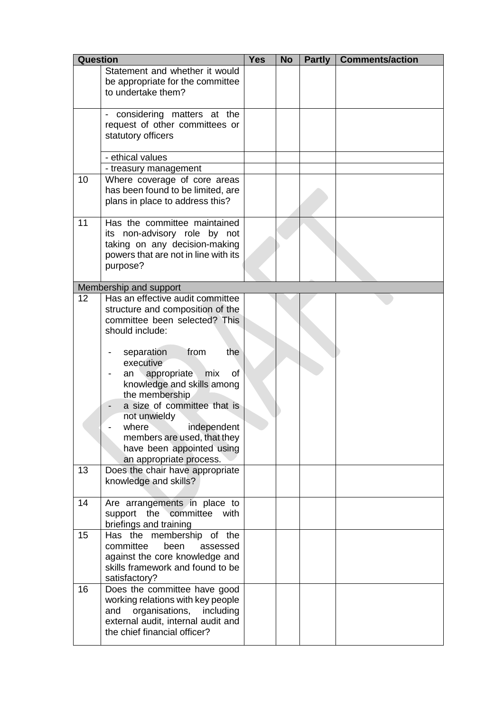| Question |                                                                                                                                                                                                                                                                                                                                                                                                                    | <b>Yes</b> | <b>No</b> | <b>Partly</b> | <b>Comments/action</b> |
|----------|--------------------------------------------------------------------------------------------------------------------------------------------------------------------------------------------------------------------------------------------------------------------------------------------------------------------------------------------------------------------------------------------------------------------|------------|-----------|---------------|------------------------|
|          | Statement and whether it would<br>be appropriate for the committee<br>to undertake them?                                                                                                                                                                                                                                                                                                                           |            |           |               |                        |
|          | considering matters at the<br>request of other committees or<br>statutory officers                                                                                                                                                                                                                                                                                                                                 |            |           |               |                        |
|          | - ethical values                                                                                                                                                                                                                                                                                                                                                                                                   |            |           |               |                        |
| 10       | - treasury management<br>Where coverage of core areas<br>has been found to be limited, are<br>plans in place to address this?                                                                                                                                                                                                                                                                                      |            |           |               |                        |
| 11       | Has the committee maintained<br>its non-advisory role by not<br>taking on any decision-making<br>powers that are not in line with its<br>purpose?                                                                                                                                                                                                                                                                  |            |           |               |                        |
|          | Membership and support                                                                                                                                                                                                                                                                                                                                                                                             |            |           |               |                        |
| 12       | Has an effective audit committee<br>structure and composition of the<br>committee been selected? This<br>should include:<br>the<br>from<br>separation<br>executive<br>appropriate<br>mix<br>of<br>an<br>knowledge and skills among<br>the membership<br>a size of committee that is<br>not unwieldy<br>where<br>independent<br>members are used, that they<br>have been appointed using<br>an appropriate process. |            |           |               |                        |
| 13       | Does the chair have appropriate<br>knowledge and skills?                                                                                                                                                                                                                                                                                                                                                           |            |           |               |                        |
| 14       | Are arrangements in place to<br>support the committee<br>with<br>briefings and training                                                                                                                                                                                                                                                                                                                            |            |           |               |                        |
| 15       | Has the membership of the<br>committee<br>been<br>assessed<br>against the core knowledge and<br>skills framework and found to be<br>satisfactory?                                                                                                                                                                                                                                                                  |            |           |               |                        |
| 16       | Does the committee have good<br>working relations with key people<br>organisations, including<br>and<br>external audit, internal audit and<br>the chief financial officer?                                                                                                                                                                                                                                         |            |           |               |                        |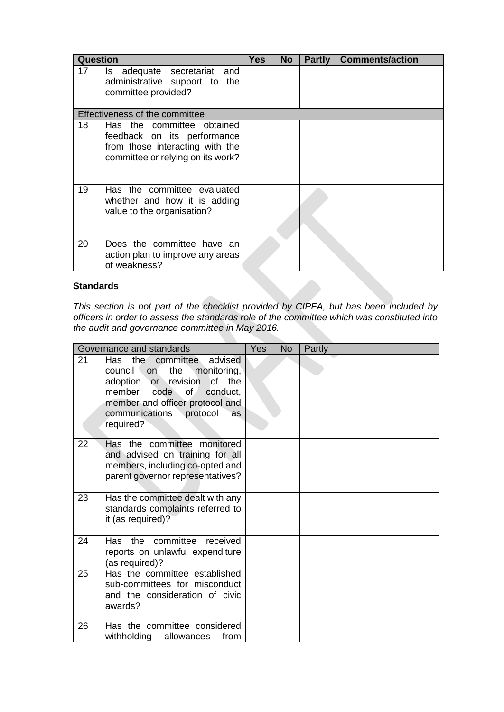| <b>Question</b> |                                                                                                                                   | <b>Yes</b> | <b>No</b> | <b>Partly</b> | <b>Comments/action</b> |
|-----------------|-----------------------------------------------------------------------------------------------------------------------------------|------------|-----------|---------------|------------------------|
| 17              | adequate secretariat<br>and<br>ls.<br>administrative support to the<br>committee provided?                                        |            |           |               |                        |
|                 | Effectiveness of the committee                                                                                                    |            |           |               |                        |
| 18              | Has the committee obtained<br>feedback on its performance<br>from those interacting with the<br>committee or relying on its work? |            |           |               |                        |
| 19              | Has the committee evaluated<br>whether and how it is adding<br>value to the organisation?                                         |            |           |               |                        |
| 20              | Does the committee have an<br>action plan to improve any areas<br>of weakness?                                                    |            |           |               |                        |

## **Standards**

*This section is not part of the checklist provided by CIPFA, but has been included by officers in order to assess the standards role of the committee which was constituted into the audit and governance committee in May 2016.*

| Governance and standards |                                                                                                                                                                                                                                    | Yes | <b>No</b> | Partly |  |
|--------------------------|------------------------------------------------------------------------------------------------------------------------------------------------------------------------------------------------------------------------------------|-----|-----------|--------|--|
| 21                       | Has<br>the committee<br>advised<br>council<br>the<br>monitoring,<br>on.<br>adoption or revision<br>of the<br>member code<br>of<br>conduct,<br>member and officer protocol and<br>communications protocol<br><b>as</b><br>required? |     |           |        |  |
| 22                       | Has the committee monitored<br>and advised on training for all<br>members, including co-opted and<br>parent governor representatives?                                                                                              |     |           |        |  |
| 23                       | Has the committee dealt with any<br>standards complaints referred to<br>it (as required)?                                                                                                                                          |     |           |        |  |
| 24                       | Has the<br>committee received<br>reports on unlawful expenditure<br>(as required)?                                                                                                                                                 |     |           |        |  |
| 25                       | Has the committee established<br>sub-committees for misconduct<br>and the consideration of civic<br>awards?                                                                                                                        |     |           |        |  |
| 26                       | Has the committee considered<br>withholding<br>allowances<br>from                                                                                                                                                                  |     |           |        |  |